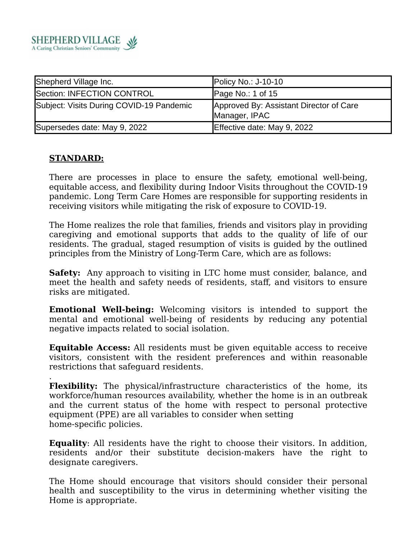

| Shepherd Village Inc.                    | Policy No.: $J-10-10$                                    |
|------------------------------------------|----------------------------------------------------------|
| Section: INFECTION CONTROL               | Page No.: 1 of 15                                        |
| Subject: Visits During COVID-19 Pandemic | Approved By: Assistant Director of Care<br>Manager, IPAC |
| Supersedes date: May 9, 2022             | Effective date: May 9, 2022                              |

## **STANDARD:**

There are processes in place to ensure the safety, emotional well-being, equitable access, and flexibility during Indoor Visits throughout the COVID-19 pandemic. Long Term Care Homes are responsible for supporting residents in receiving visitors while mitigating the risk of exposure to COVID-19.

The Home realizes the role that families, friends and visitors play in providing caregiving and emotional supports that adds to the quality of life of our residents. The gradual, staged resumption of visits is guided by the outlined principles from the Ministry of Long-Term Care, which are as follows:

**Safety:** Any approach to visiting in LTC home must consider, balance, and meet the health and safety needs of residents, staff, and visitors to ensure risks are mitigated.

**Emotional Well-being:** Welcoming visitors is intended to support the mental and emotional well-being of residents by reducing any potential negative impacts related to social isolation.

**Equitable Access:** All residents must be given equitable access to receive visitors, consistent with the resident preferences and within reasonable restrictions that safeguard residents.

. **Flexibility:** The physical/infrastructure characteristics of the home, its workforce/human resources availability, whether the home is in an outbreak and the current status of the home with respect to personal protective equipment (PPE) are all variables to consider when setting home-specific policies.

**Equality**: All residents have the right to choose their visitors. In addition, residents and/or their substitute decision-makers have the right to designate caregivers.

The Home should encourage that visitors should consider their personal health and susceptibility to the virus in determining whether visiting the Home is appropriate.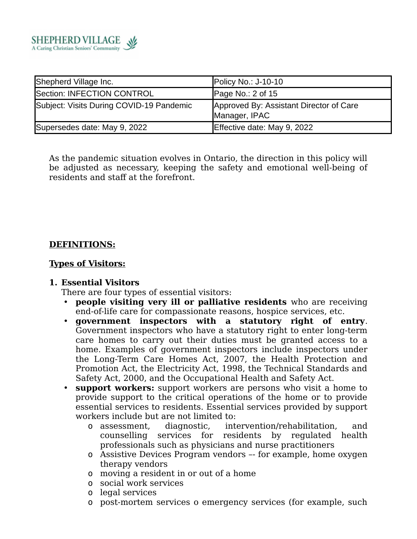

| Shepherd Village Inc.                    | Policy No.: $J-10-10$                                    |
|------------------------------------------|----------------------------------------------------------|
| Section: INFECTION CONTROL               | Page No.: $2$ of 15                                      |
| Subject: Visits During COVID-19 Pandemic | Approved By: Assistant Director of Care<br>Manager, IPAC |
| Supersedes date: May 9, 2022             | Effective date: May 9, 2022                              |

As the pandemic situation evolves in Ontario, the direction in this policy will be adjusted as necessary, keeping the safety and emotional well-being of residents and staff at the forefront.

## **DEFINITIONS:**

## **Types of Visitors:**

### **1. Essential Visitors**

There are four types of essential visitors:

- **people visiting very ill or palliative residents** who are receiving end-of-life care for compassionate reasons, hospice services, etc.
- **government inspectors with a statutory right of entry**. Government inspectors who have a statutory right to enter long-term care homes to carry out their duties must be granted access to a home. Examples of government inspectors include inspectors under the Long-Term Care Homes Act, 2007, the Health Protection and Promotion Act, the Electricity Act, 1998, the Technical Standards and Safety Act, 2000, and the Occupational Health and Safety Act.
- **support workers:** support workers are persons who visit a home to provide support to the critical operations of the home or to provide essential services to residents. Essential services provided by support workers include but are not limited to:
	- o assessment, diagnostic, intervention/rehabilitation, and counselling services for residents by regulated health professionals such as physicians and nurse practitioners
	- o Assistive Devices Program vendors –- for example, home oxygen therapy vendors
	- o moving a resident in or out of a home
	- o social work services
	- o legal services
	- o post-mortem services o emergency services (for example, such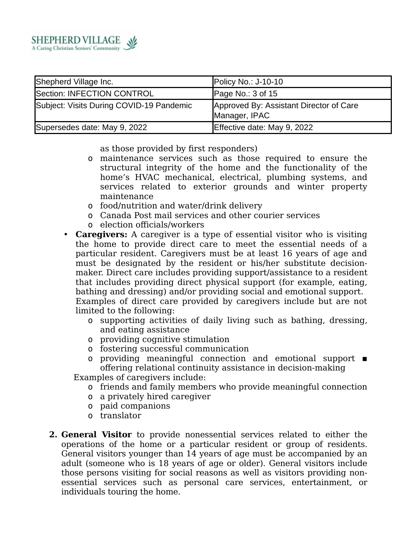

| Shepherd Village Inc.                    | Policy No.: $J-10-10$                                    |
|------------------------------------------|----------------------------------------------------------|
| Section: INFECTION CONTROL               | Page No.: $3$ of 15                                      |
| Subject: Visits During COVID-19 Pandemic | Approved By: Assistant Director of Care<br>Manager, IPAC |
| Supersedes date: May 9, 2022             | Effective date: May 9, 2022                              |

as those provided by first responders)

- o maintenance services such as those required to ensure the structural integrity of the home and the functionality of the home's HVAC mechanical, electrical, plumbing systems, and services related to exterior grounds and winter property maintenance
- o food/nutrition and water/drink delivery
- o Canada Post mail services and other courier services
- o election officials/workers
- **Caregivers:** A caregiver is a type of essential visitor who is visiting the home to provide direct care to meet the essential needs of a particular resident. Caregivers must be at least 16 years of age and must be designated by the resident or his/her substitute decisionmaker. Direct care includes providing support/assistance to a resident that includes providing direct physical support (for example, eating, bathing and dressing) and/or providing social and emotional support. Examples of direct care provided by caregivers include but are not limited to the following:
	- o supporting activities of daily living such as bathing, dressing, and eating assistance
	- o providing cognitive stimulation
	- o fostering successful communication
	- o providing meaningful connection and emotional support offering relational continuity assistance in decision-making

Examples of caregivers include:

- o friends and family members who provide meaningful connection
- o a privately hired caregiver
- o paid companions
- o translator
- **2. General Visitor** to provide nonessential services related to either the operations of the home or a particular resident or group of residents. General visitors younger than 14 years of age must be accompanied by an adult (someone who is 18 years of age or older). General visitors include those persons visiting for social reasons as well as visitors providing nonessential services such as personal care services, entertainment, or individuals touring the home.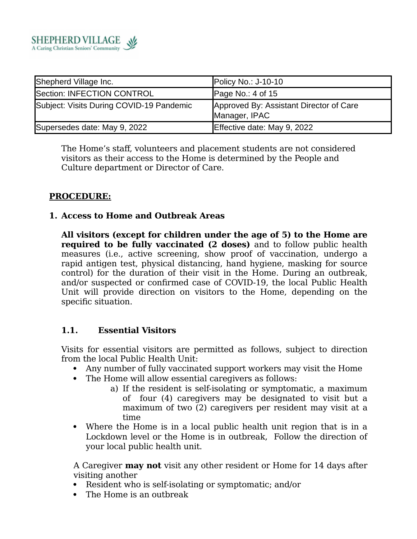

| Shepherd Village Inc.                    | Policy No.: $J-10-10$                                    |
|------------------------------------------|----------------------------------------------------------|
| Section: INFECTION CONTROL               | Page No.: $4$ of 15                                      |
| Subject: Visits During COVID-19 Pandemic | Approved By: Assistant Director of Care<br>Manager, IPAC |
| Supersedes date: May 9, 2022             | Effective date: May 9, 2022                              |

The Home's staff, volunteers and placement students are not considered visitors as their access to the Home is determined by the People and Culture department or Director of Care.

## **PROCEDURE:**

## **1. Access to Home and Outbreak Areas**

**All visitors (except for children under the age of 5) to the Home are required to be fully vaccinated (2 doses)** and to follow public health measures (i.e., active screening, show proof of vaccination, undergo a rapid antigen test, physical distancing, hand hygiene, masking for source control) for the duration of their visit in the Home. During an outbreak, and/or suspected or confirmed case of COVID-19, the local Public Health Unit will provide direction on visitors to the Home, depending on the specific situation.

## **1.1. Essential Visitors**

Visits for essential visitors are permitted as follows, subject to direction from the local Public Health Unit:

- Any number of fully vaccinated support workers may visit the Home
- The Home will allow essential caregivers as follows:
	- a) If the resident is self-isolating or symptomatic, a maximum of four (4) caregivers may be designated to visit but a maximum of two (2) caregivers per resident may visit at a time
- Where the Home is in a local public health unit region that is in a Lockdown level or the Home is in outbreak, Follow the direction of your local public health unit.

A Caregiver **may not** visit any other resident or Home for 14 days after visiting another

- Resident who is self-isolating or symptomatic; and/or
- The Home is an outbreak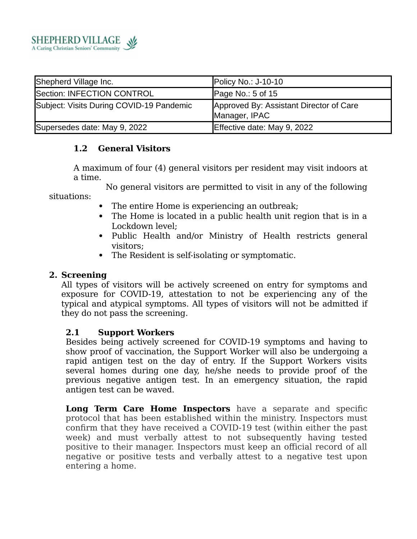

| Shepherd Village Inc.                    | Policy No.: $J-10-10$                                    |
|------------------------------------------|----------------------------------------------------------|
| Section: INFECTION CONTROL               | Page No.: $5$ of 15                                      |
| Subject: Visits During COVID-19 Pandemic | Approved By: Assistant Director of Care<br>Manager, IPAC |
| Supersedes date: May 9, 2022             | Effective date: May 9, 2022                              |

### **1.2 General Visitors**

A maximum of four (4) general visitors per resident may visit indoors at a time.

 No general visitors are permitted to visit in any of the following situations:

- The entire Home is experiencing an outbreak;
- The Home is located in a public health unit region that is in a Lockdown level;
- Public Health and/or Ministry of Health restricts general visitors;
- The Resident is self-isolating or symptomatic.

### **2. Screening**

All types of visitors will be actively screened on entry for symptoms and exposure for COVID-19, attestation to not be experiencing any of the typical and atypical symptoms. All types of visitors will not be admitted if they do not pass the screening.

### **2.1 Support Workers**

Besides being actively screened for COVID-19 symptoms and having to show proof of vaccination, the Support Worker will also be undergoing a rapid antigen test on the day of entry. If the Support Workers visits several homes during one day, he/she needs to provide proof of the previous negative antigen test. In an emergency situation, the rapid antigen test can be waved.

**Long Term Care Home Inspectors** have a separate and specific protocol that has been established within the ministry. Inspectors must confirm that they have received a COVID-19 test (within either the past week) and must verbally attest to not subsequently having tested positive to their manager. Inspectors must keep an official record of all negative or positive tests and verbally attest to a negative test upon entering a home.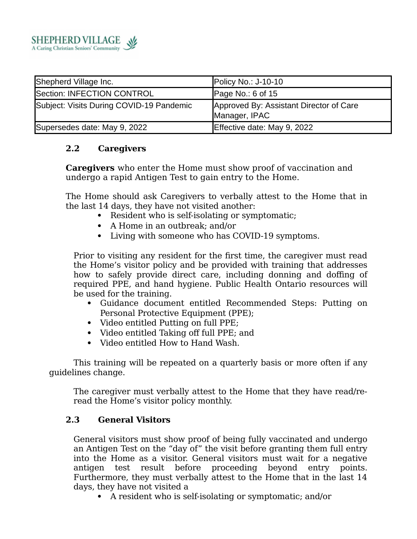

| Shepherd Village Inc.                    | Policy No.: $J-10-10$                                    |
|------------------------------------------|----------------------------------------------------------|
| Section: INFECTION CONTROL               | Page No.: 6 of $15$                                      |
| Subject: Visits During COVID-19 Pandemic | Approved By: Assistant Director of Care<br>Manager, IPAC |
| Supersedes date: May 9, 2022             | Effective date: May 9, 2022                              |

## **2.2 Caregivers**

**Caregivers** who enter the Home must show proof of vaccination and undergo a rapid Antigen Test to gain entry to the Home.

The Home should ask Caregivers to verbally attest to the Home that in the last 14 days, they have not visited another:

- Resident who is self-isolating or symptomatic;
- A Home in an outbreak; and/or
- Living with someone who has COVID-19 symptoms.

Prior to visiting any resident for the first time, the caregiver must read the Home's visitor policy and be provided with training that addresses how to safely provide direct care, including donning and doffing of required PPE, and hand hygiene. Public Health Ontario resources will be used for the training.

- Guidance document entitled Recommended Steps: Putting on Personal Protective Equipment (PPE);
- Video entitled Putting on full PPE;
- Video entitled Taking off full PPE; and
- Video entitled How to Hand Wash.

This training will be repeated on a quarterly basis or more often if any guidelines change.

The caregiver must verbally attest to the Home that they have read/reread the Home's visitor policy monthly.

## **2.3 General Visitors**

General visitors must show proof of being fully vaccinated and undergo an Antigen Test on the "day of" the visit before granting them full entry into the Home as a visitor. General visitors must wait for a negative antigen test result before proceeding beyond entry points. Furthermore, they must verbally attest to the Home that in the last 14 days, they have not visited a

A resident who is self-isolating or symptomatic; and/or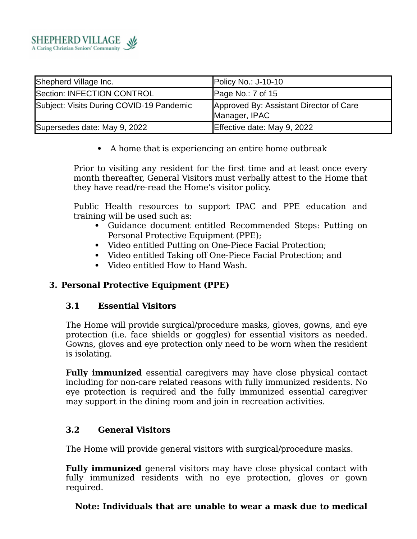

| Shepherd Village Inc.                    | Policy No.: $J-10-10$                                    |
|------------------------------------------|----------------------------------------------------------|
| Section: INFECTION CONTROL               | Page No.: $7$ of 15                                      |
| Subject: Visits During COVID-19 Pandemic | Approved By: Assistant Director of Care<br>Manager, IPAC |
| Supersedes date: May 9, 2022             | Effective date: May 9, 2022                              |

A home that is experiencing an entire home outbreak

Prior to visiting any resident for the first time and at least once every month thereafter, General Visitors must verbally attest to the Home that they have read/re-read the Home's visitor policy.

Public Health resources to support IPAC and PPE education and training will be used such as:

- Guidance document entitled Recommended Steps: Putting on Personal Protective Equipment (PPE);
- Video entitled Putting on One-Piece Facial Protection;
- Video entitled Taking off One-Piece Facial Protection; and
- Video entitled How to Hand Wash.

# **3. Personal Protective Equipment (PPE)**

## **3.1 Essential Visitors**

The Home will provide surgical/procedure masks, gloves, gowns, and eye protection (i.e. face shields or goggles) for essential visitors as needed. Gowns, gloves and eye protection only need to be worn when the resident is isolating.

**Fully immunized** essential caregivers may have close physical contact including for non-care related reasons with fully immunized residents. No eye protection is required and the fully immunized essential caregiver may support in the dining room and join in recreation activities.

## **3.2 General Visitors**

The Home will provide general visitors with surgical/procedure masks.

**Fully immunized** general visitors may have close physical contact with fully immunized residents with no eye protection, gloves or gown required.

## **Note: Individuals that are unable to wear a mask due to medical**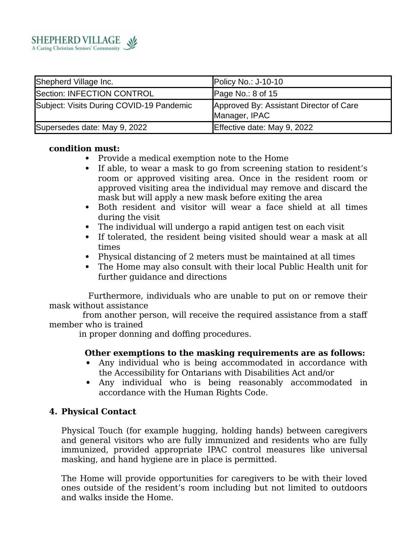

| Shepherd Village Inc.                    | Policy No.: $J-10-10$                                    |
|------------------------------------------|----------------------------------------------------------|
| Section: INFECTION CONTROL               | Page No.: $8$ of 15                                      |
| Subject: Visits During COVID-19 Pandemic | Approved By: Assistant Director of Care<br>Manager, IPAC |
| Supersedes date: May 9, 2022             | Effective date: May 9, 2022                              |

### **condition must:**

- Provide a medical exemption note to the Home
- If able, to wear a mask to go from screening station to resident's room or approved visiting area. Once in the resident room or approved visiting area the individual may remove and discard the mask but will apply a new mask before exiting the area
- Both resident and visitor will wear a face shield at all times during the visit
- The individual will undergo a rapid antigen test on each visit
- If tolerated, the resident being visited should wear a mask at all times
- Physical distancing of 2 meters must be maintained at all times
- The Home may also consult with their local Public Health unit for further guidance and directions

 Furthermore, individuals who are unable to put on or remove their mask without assistance

 from another person, will receive the required assistance from a staff member who is trained

in proper donning and doffing procedures.

## **Other exemptions to the masking requirements are as follows:**

- Any individual who is being accommodated in accordance with the Accessibility for Ontarians with Disabilities Act and/or
- Any individual who is being reasonably accommodated in accordance with the Human Rights Code.

## **4. Physical Contact**

Physical Touch (for example hugging, holding hands) between caregivers and general visitors who are fully immunized and residents who are fully immunized, provided appropriate IPAC control measures like universal masking, and hand hygiene are in place is permitted.

The Home will provide opportunities for caregivers to be with their loved ones outside of the resident's room including but not limited to outdoors and walks inside the Home.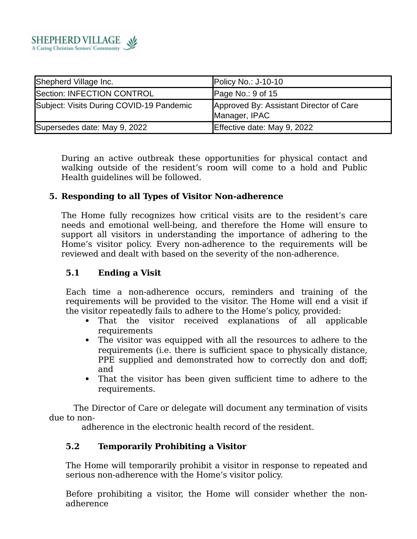

| Shepherd Village Inc.                    | Policy No.: $J-10-10$                                    |
|------------------------------------------|----------------------------------------------------------|
| Section: INFECTION CONTROL               | Page No.: $9$ of 15                                      |
| Subject: Visits During COVID-19 Pandemic | Approved By: Assistant Director of Care<br>Manager, IPAC |
| Supersedes date: May 9, 2022             | Effective date: May 9, 2022                              |

During an active outbreak these opportunities for physical contact and walking outside of the resident's room will come to a hold and Public Health guidelines will be followed.

## **5. Responding to all Types of Visitor Non-adherence**

The Home fully recognizes how critical visits are to the resident's care needs and emotional well-being, and therefore the Home will ensure to support all visitors in understanding the importance of adhering to the Home's visitor policy. Every non-adherence to the requirements will be reviewed and dealt with based on the severity of the non-adherence.

## **5.1 Ending a Visit**

Each time a non-adherence occurs, reminders and training of the requirements will be provided to the visitor. The Home will end a visit if the visitor repeatedly fails to adhere to the Home's policy, provided:

- That the visitor received explanations of all applicable requirements
- The visitor was equipped with all the resources to adhere to the requirements (i.e. there is sufficient space to physically distance, PPE supplied and demonstrated how to correctly don and doff; and
- That the visitor has been given sufficient time to adhere to the requirements.

 The Director of Care or delegate will document any termination of visits due to non-

adherence in the electronic health record of the resident.

## **5.2 Temporarily Prohibiting a Visitor**

The Home will temporarily prohibit a visitor in response to repeated and serious non-adherence with the Home's visitor policy.

Before prohibiting a visitor, the Home will consider whether the nonadherence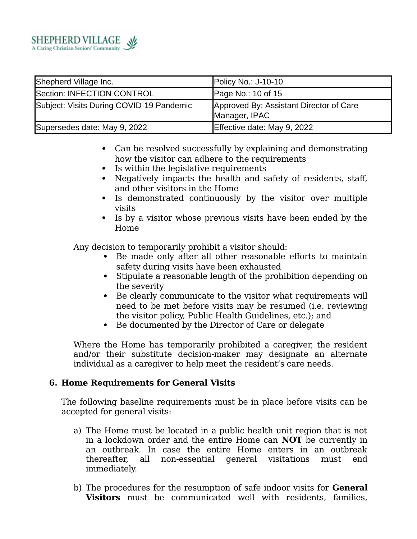

| Shepherd Village Inc.                    | Policy No.: $J-10-10$                                    |
|------------------------------------------|----------------------------------------------------------|
| Section: INFECTION CONTROL               | Page No.: 10 of 15                                       |
| Subject: Visits During COVID-19 Pandemic | Approved By: Assistant Director of Care<br>Manager, IPAC |
| Supersedes date: May 9, 2022             | Effective date: May 9, 2022                              |

- Can be resolved successfully by explaining and demonstrating how the visitor can adhere to the requirements
- Is within the legislative requirements
- Negatively impacts the health and safety of residents, staff, and other visitors in the Home
- Is demonstrated continuously by the visitor over multiple visits
- Is by a visitor whose previous visits have been ended by the Home

Any decision to temporarily prohibit a visitor should:

- Be made only after all other reasonable efforts to maintain safety during visits have been exhausted
- Stipulate a reasonable length of the prohibition depending on the severity
- Be clearly communicate to the visitor what requirements will need to be met before visits may be resumed (i.e. reviewing the visitor policy, Public Health Guidelines, etc.); and
- Be documented by the Director of Care or delegate

Where the Home has temporarily prohibited a caregiver, the resident and/or their substitute decision-maker may designate an alternate individual as a caregiver to help meet the resident's care needs.

## **6. Home Requirements for General Visits**

The following baseline requirements must be in place before visits can be accepted for general visits:

- a) The Home must be located in a public health unit region that is not in a lockdown order and the entire Home can **NOT** be currently in an outbreak. In case the entire Home enters in an outbreak thereafter, all non-essential general visitations must end immediately.
- b) The procedures for the resumption of safe indoor visits for **General Visitors** must be communicated well with residents, families,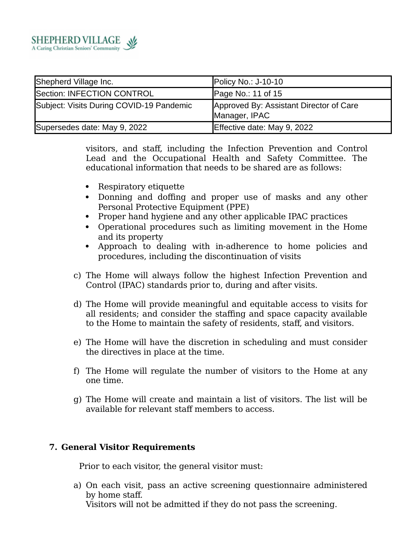

| Shepherd Village Inc.                    | Policy No.: $J-10-10$                                    |
|------------------------------------------|----------------------------------------------------------|
| Section: INFECTION CONTROL               | Page No.: 11 of $15$                                     |
| Subject: Visits During COVID-19 Pandemic | Approved By: Assistant Director of Care<br>Manager, IPAC |
| Supersedes date: May 9, 2022             | Effective date: May 9, 2022                              |

visitors, and staff, including the Infection Prevention and Control Lead and the Occupational Health and Safety Committee. The educational information that needs to be shared are as follows:

- Respiratory etiquette
- Donning and doffing and proper use of masks and any other Personal Protective Equipment (PPE)
- Proper hand hygiene and any other applicable IPAC practices
- Operational procedures such as limiting movement in the Home and its property
- Approach to dealing with in-adherence to home policies and procedures, including the discontinuation of visits
- c) The Home will always follow the highest Infection Prevention and Control (IPAC) standards prior to, during and after visits.
- d) The Home will provide meaningful and equitable access to visits for all residents; and consider the staffing and space capacity available to the Home to maintain the safety of residents, staff, and visitors.
- e) The Home will have the discretion in scheduling and must consider the directives in place at the time.
- f) The Home will regulate the number of visitors to the Home at any one time.
- g) The Home will create and maintain a list of visitors. The list will be available for relevant staff members to access.

## **7. General Visitor Requirements**

Prior to each visitor, the general visitor must:

a) On each visit, pass an active screening questionnaire administered by home staff. Visitors will not be admitted if they do not pass the screening.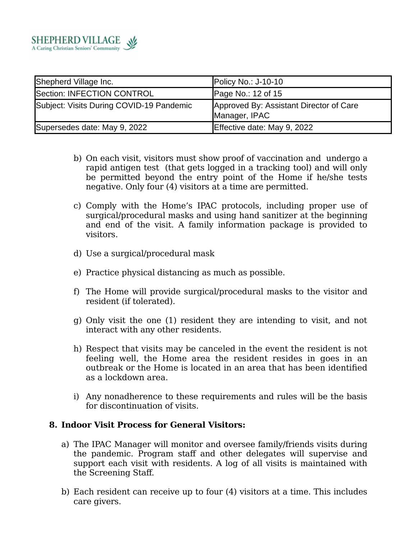

| Shepherd Village Inc.                    | Policy No.: $J-10-10$                                    |
|------------------------------------------|----------------------------------------------------------|
| Section: INFECTION CONTROL               | Page No.: 12 of 15                                       |
| Subject: Visits During COVID-19 Pandemic | Approved By: Assistant Director of Care<br>Manager, IPAC |
| Supersedes date: May 9, 2022             | Effective date: May 9, 2022                              |

- b) On each visit, visitors must show proof of vaccination and undergo a rapid antigen test (that gets logged in a tracking tool) and will only be permitted beyond the entry point of the Home if he/she tests negative. Only four (4) visitors at a time are permitted.
- c) Comply with the Home's IPAC protocols, including proper use of surgical/procedural masks and using hand sanitizer at the beginning and end of the visit. A family information package is provided to visitors.
- d) Use a surgical/procedural mask
- e) Practice physical distancing as much as possible.
- f) The Home will provide surgical/procedural masks to the visitor and resident (if tolerated).
- g) Only visit the one (1) resident they are intending to visit, and not interact with any other residents.
- h) Respect that visits may be canceled in the event the resident is not feeling well, the Home area the resident resides in goes in an outbreak or the Home is located in an area that has been identified as a lockdown area.
- i) Any nonadherence to these requirements and rules will be the basis for discontinuation of visits.

### **8. Indoor Visit Process for General Visitors:**

- a) The IPAC Manager will monitor and oversee family/friends visits during the pandemic. Program staff and other delegates will supervise and support each visit with residents. A log of all visits is maintained with the Screening Staff.
- b) Each resident can receive up to four (4) visitors at a time. This includes care givers.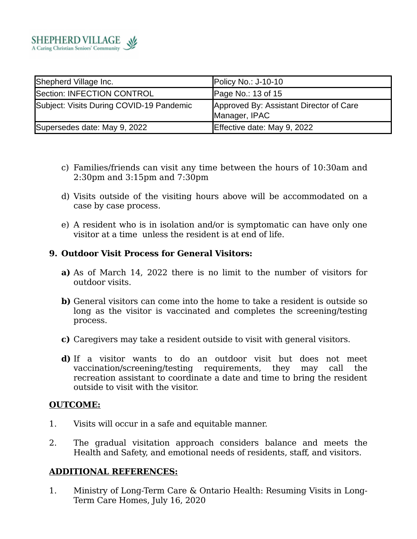

| Shepherd Village Inc.                    | Policy No.: J-10-10                                      |
|------------------------------------------|----------------------------------------------------------|
| Section: INFECTION CONTROL               | Page No.: 13 of 15                                       |
| Subject: Visits During COVID-19 Pandemic | Approved By: Assistant Director of Care<br>Manager, IPAC |
| Supersedes date: May 9, 2022             | Effective date: May 9, 2022                              |

- c) Families/friends can visit any time between the hours of 10:30am and 2:30pm and 3:15pm and 7:30pm
- d) Visits outside of the visiting hours above will be accommodated on a case by case process.
- e) A resident who is in isolation and/or is symptomatic can have only one visitor at a time unless the resident is at end of life.

### **9. Outdoor Visit Process for General Visitors:**

- **a)** As of March 14, 2022 there is no limit to the number of visitors for outdoor visits.
- **b)** General visitors can come into the home to take a resident is outside so long as the visitor is vaccinated and completes the screening/testing process.
- **c)** Caregivers may take a resident outside to visit with general visitors.
- **d)** If a visitor wants to do an outdoor visit but does not meet vaccination/screening/testing requirements, they may call the recreation assistant to coordinate a date and time to bring the resident outside to visit with the visitor.

### **OUTCOME:**

- 1. Visits will occur in a safe and equitable manner.
- 2. The gradual visitation approach considers balance and meets the Health and Safety, and emotional needs of residents, staff, and visitors.

### **ADDITIONAL REFERENCES:**

1. Ministry of Long-Term Care & Ontario Health: Resuming Visits in Long-Term Care Homes, July 16, 2020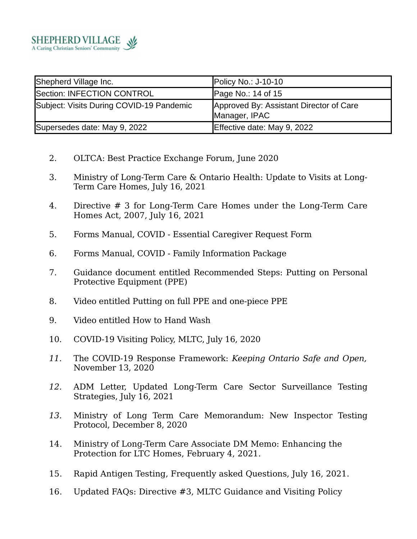

| Shepherd Village Inc.                    | Policy No.: J-10-10                                      |
|------------------------------------------|----------------------------------------------------------|
| Section: INFECTION CONTROL               | Page No.: $14$ of $15$                                   |
| Subject: Visits During COVID-19 Pandemic | Approved By: Assistant Director of Care<br>Manager, IPAC |
| Supersedes date: May 9, 2022             | Effective date: May 9, 2022                              |

- 2. OLTCA: Best Practice Exchange Forum, June 2020
- 3. Ministry of Long-Term Care & Ontario Health: Update to Visits at Long-Term Care Homes, July 16, 2021
- 4. Directive # 3 for Long-Term Care Homes under the Long-Term Care Homes Act, 2007, July 16, 2021
- 5. Forms Manual, COVID Essential Caregiver Request Form
- 6. Forms Manual, COVID Family Information Package
- 7. Guidance document entitled Recommended Steps: Putting on Personal Protective Equipment (PPE)
- 8. Video entitled Putting on full PPE and one-piece PPE
- 9. Video entitled How to Hand Wash
- 10. COVID-19 Visiting Policy, MLTC, July 16, 2020
- *11.* The COVID-19 Response Framework: *Keeping Ontario Safe and Open,* November 13, 2020
- *12.* ADM Letter, Updated Long-Term Care Sector Surveillance Testing Strategies, July 16, 2021
- *13.* Ministry of Long Term Care Memorandum: New Inspector Testing Protocol, December 8, 2020
- 14. Ministry of Long-Term Care Associate DM Memo: Enhancing the Protection for LTC Homes, February 4, 2021.
- 15. Rapid Antigen Testing, Frequently asked Questions, July 16, 2021.
- 16. Updated FAQs: Directive #3, MLTC Guidance and Visiting Policy